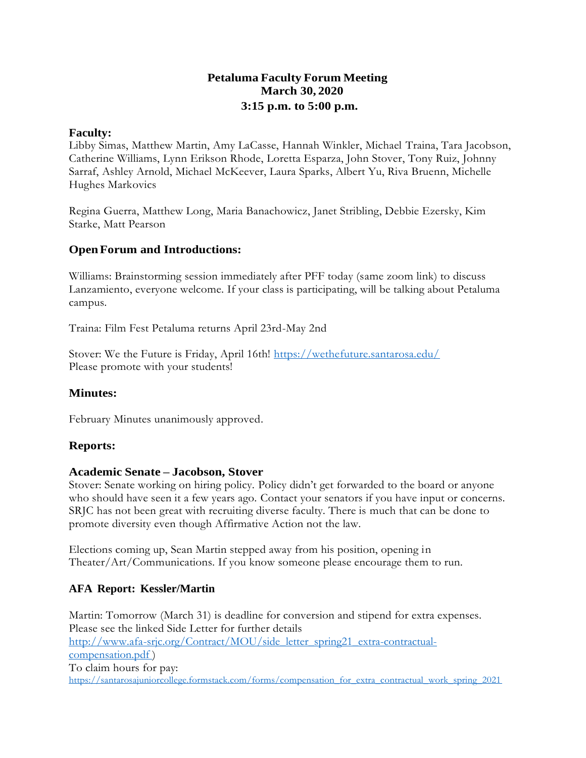# **Petaluma Faculty Forum Meeting March 30, 2020 3:15 p.m. to 5:00 p.m.**

#### **Faculty:**

Libby Simas, Matthew Martin, Amy LaCasse, Hannah Winkler, Michael Traina, Tara Jacobson, Catherine Williams, Lynn Erikson Rhode, Loretta Esparza, John Stover, Tony Ruiz, Johnny Sarraf, Ashley Arnold, Michael McKeever, Laura Sparks, Albert Yu, Riva Bruenn, Michelle Hughes Markovics

Regina Guerra, Matthew Long, Maria Banachowicz, Janet Stribling, Debbie Ezersky, Kim Starke, Matt Pearson

### **OpenForum and Introductions:**

Williams: Brainstorming session immediately after PFF today (same zoom link) to discuss Lanzamiento, everyone welcome. If your class is participating, will be talking about Petaluma campus.

Traina: Film Fest Petaluma returns April 23rd-May 2nd

Stover: We the Future is Friday, April 16th!<https://wethefuture.santarosa.edu/> Please promote with your students!

#### **Minutes:**

February Minutes unanimously approved.

#### **Reports:**

#### **Academic Senate – Jacobson, Stover**

Stover: Senate working on hiring policy. Policy didn't get forwarded to the board or anyone who should have seen it a few years ago. Contact your senators if you have input or concerns. SRJC has not been great with recruiting diverse faculty. There is much that can be done to promote diversity even though Affirmative Action not the law.

Elections coming up, Sean Martin stepped away from his position, opening in Theater/Art/Communications. If you know someone please encourage them to run.

#### **AFA Report: Kessler/Martin**

Martin: Tomorrow (March 31) is deadline for conversion and stipend for extra expenses. Please see the linked Side Letter for further details [http://www.afa-s](http://www.afa-/)rjc.org/Contract/MOU/side\_letter\_spring21\_extra-contractualcompensation.pdf ) To claim hours for pay: [https://santarosajuniorcollege.formstack.com/forms/compensation\\_for\\_extra\\_contractual\\_work\\_spring\\_2021](https://santarosajuniorcollege.formstack.com/forms/compensation_for_extra_contractual_work_spring_2021)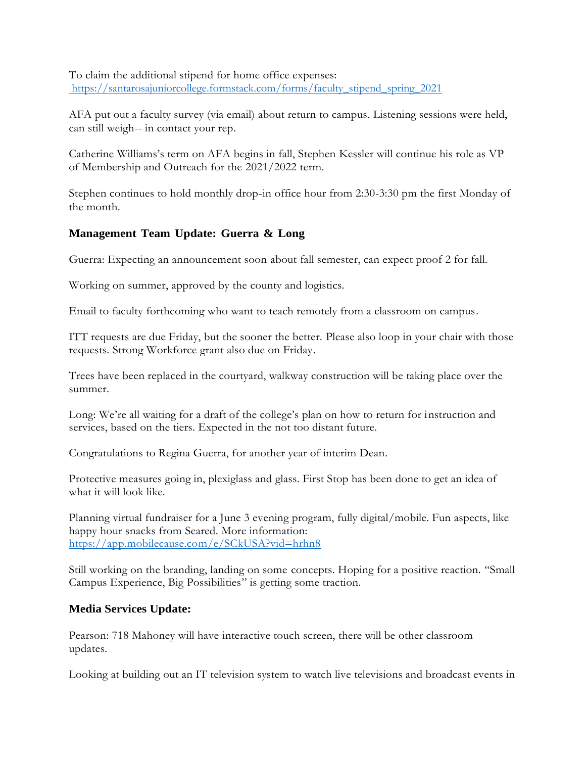To claim the additional stipend for home office expenses: https://santarosajuniorcollege.formstack.com/forms/faculty\_stipend\_spring\_2021

AFA put out a faculty survey (via email) about return to campus. Listening sessions were held, can still weigh-- in contact your rep.

Catherine Williams's term on AFA begins in fall, Stephen Kessler will continue his role as VP of Membership and Outreach for the 2021/2022 term.

Stephen continues to hold monthly drop-in office hour from 2:30-3:30 pm the first Monday of the month.

### **Management Team Update: Guerra & Long**

Guerra: Expecting an announcement soon about fall semester, can expect proof 2 for fall.

Working on summer, approved by the county and logistics.

Email to faculty forthcoming who want to teach remotely from a classroom on campus.

ITT requests are due Friday, but the sooner the better. Please also loop in your chair with those requests. Strong Workforce grant also due on Friday.

Trees have been replaced in the courtyard, walkway construction will be taking place over the summer.

Long: We're all waiting for a draft of the college's plan on how to return for instruction and services, based on the tiers. Expected in the not too distant future.

Congratulations to Regina Guerra, for another year of interim Dean.

Protective measures going in, plexiglass and glass. First Stop has been done to get an idea of what it will look like.

Planning virtual fundraiser for a June 3 evening program, fully digital/mobile. Fun aspects, like happy hour snacks from Seared. More information: <https://app.mobilecause.com/e/SCkUSA?vid=hrhn8>

Still working on the branding, landing on some concepts. Hoping for a positive reaction. "Small Campus Experience, Big Possibilities" is getting some traction.

### **Media Services Update:**

Pearson: 718 Mahoney will have interactive touch screen, there will be other classroom updates.

Looking at building out an IT television system to watch live televisions and broadcast events in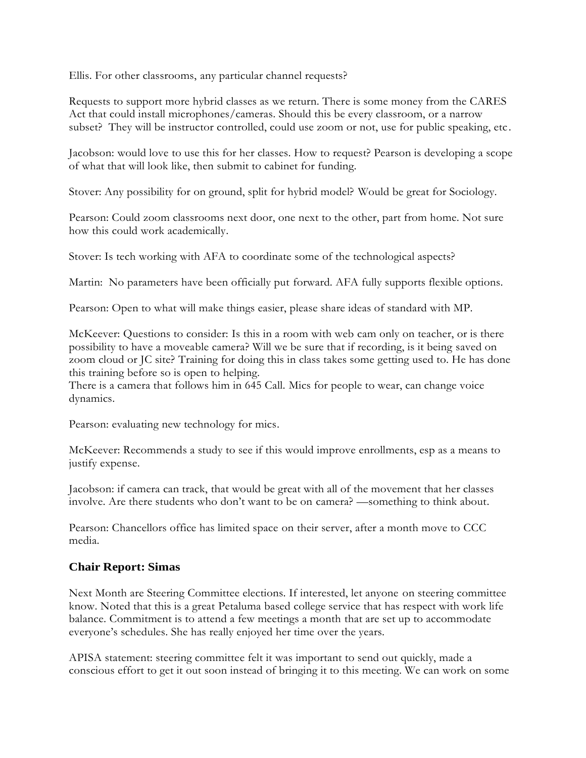Ellis. For other classrooms, any particular channel requests?

Requests to support more hybrid classes as we return. There is some money from the CARES Act that could install microphones/cameras. Should this be every classroom, or a narrow subset? They will be instructor controlled, could use zoom or not, use for public speaking, etc .

Jacobson: would love to use this for her classes. How to request? Pearson is developing a scope of what that will look like, then submit to cabinet for funding.

Stover: Any possibility for on ground, split for hybrid model? Would be great for Sociology.

Pearson: Could zoom classrooms next door, one next to the other, part from home. Not sure how this could work academically.

Stover: Is tech working with AFA to coordinate some of the technological aspects?

Martin: No parameters have been officially put forward. AFA fully supports flexible options.

Pearson: Open to what will make things easier, please share ideas of standard with MP.

McKeever: Questions to consider: Is this in a room with web cam only on teacher, or is there possibility to have a moveable camera? Will we be sure that if recording, is it being saved on zoom cloud or JC site? Training for doing this in class takes some getting used to. He has done this training before so is open to helping.

There is a camera that follows him in 645 Call. Mics for people to wear, can change voice dynamics.

Pearson: evaluating new technology for mics.

McKeever: Recommends a study to see if this would improve enrollments, esp as a means to justify expense.

Jacobson: if camera can track, that would be great with all of the movement that her classes involve. Are there students who don't want to be on camera? —something to think about.

Pearson: Chancellors office has limited space on their server, after a month move to CCC media.

### **Chair Report: Simas**

Next Month are Steering Committee elections. If interested, let anyone on steering committee know. Noted that this is a great Petaluma based college service that has respect with work life balance. Commitment is to attend a few meetings a month that are set up to accommodate everyone's schedules. She has really enjoyed her time over the years.

APISA statement: steering committee felt it was important to send out quickly, made a conscious effort to get it out soon instead of bringing it to this meeting. We can work on some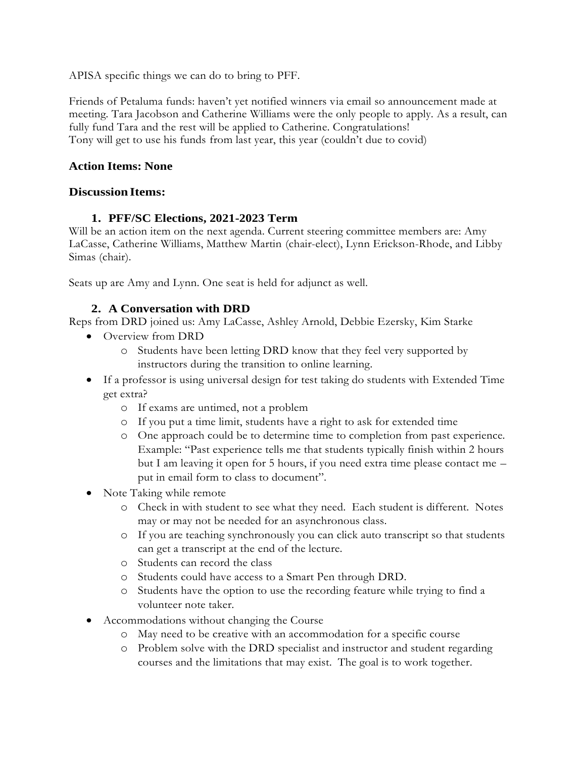APISA specific things we can do to bring to PFF.

Friends of Petaluma funds: haven't yet notified winners via email so announcement made at meeting. Tara Jacobson and Catherine Williams were the only people to apply. As a result, can fully fund Tara and the rest will be applied to Catherine. Congratulations! Tony will get to use his funds from last year, this year (couldn't due to covid)

# **Action Items: None**

### **Discussion Items:**

### **1. PFF/SC Elections, 2021-2023 Term**

Will be an action item on the next agenda. Current steering committee members are: Amy LaCasse, Catherine Williams, Matthew Martin (chair-elect), Lynn Erickson-Rhode, and Libby Simas (chair).

Seats up are Amy and Lynn. One seat is held for adjunct as well.

# **2. A Conversation with DRD**

Reps from DRD joined us: Amy LaCasse, Ashley Arnold, Debbie Ezersky, Kim Starke

- Overview from DRD
	- o Students have been letting DRD know that they feel very supported by instructors during the transition to online learning.
- If a professor is using universal design for test taking do students with Extended Time get extra?
	- o If exams are untimed, not a problem
	- o If you put a time limit, students have a right to ask for extended time
	- o One approach could be to determine time to completion from past experience. Example: "Past experience tells me that students typically finish within 2 hours but I am leaving it open for 5 hours, if you need extra time please contact me – put in email form to class to document".
- Note Taking while remote
	- o Check in with student to see what they need. Each student is different. Notes may or may not be needed for an asynchronous class.
	- o If you are teaching synchronously you can click auto transcript so that students can get a transcript at the end of the lecture.
	- o Students can record the class
	- o Students could have access to a Smart Pen through DRD.
	- o Students have the option to use the recording feature while trying to find a volunteer note taker.
- Accommodations without changing the Course
	- o May need to be creative with an accommodation for a specific course
	- o Problem solve with the DRD specialist and instructor and student regarding courses and the limitations that may exist. The goal is to work together.